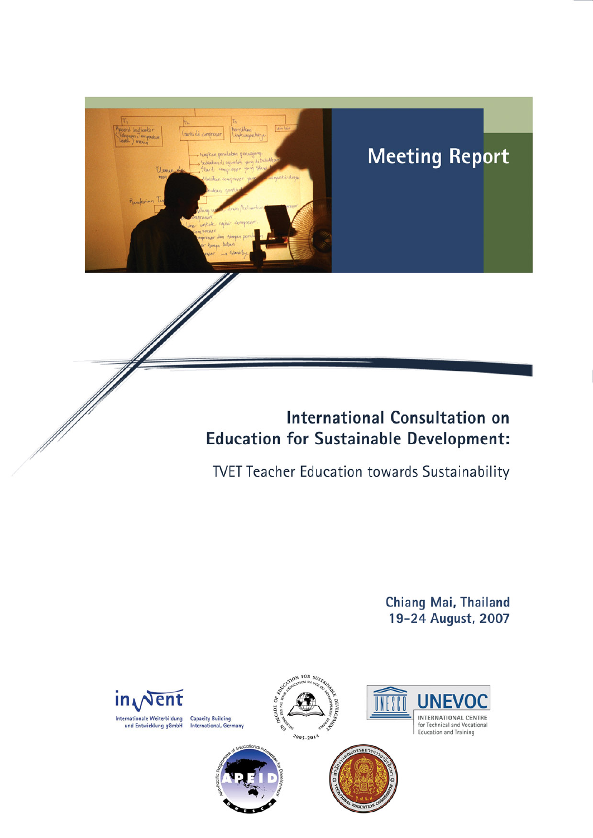# d indicator

# **Meeting Report**

# **International Consultation on Education for Sustainable Development:**

**TVET Teacher Education towards Sustainability** 

Chiang Mai, Thailand 19-24 August, 2007

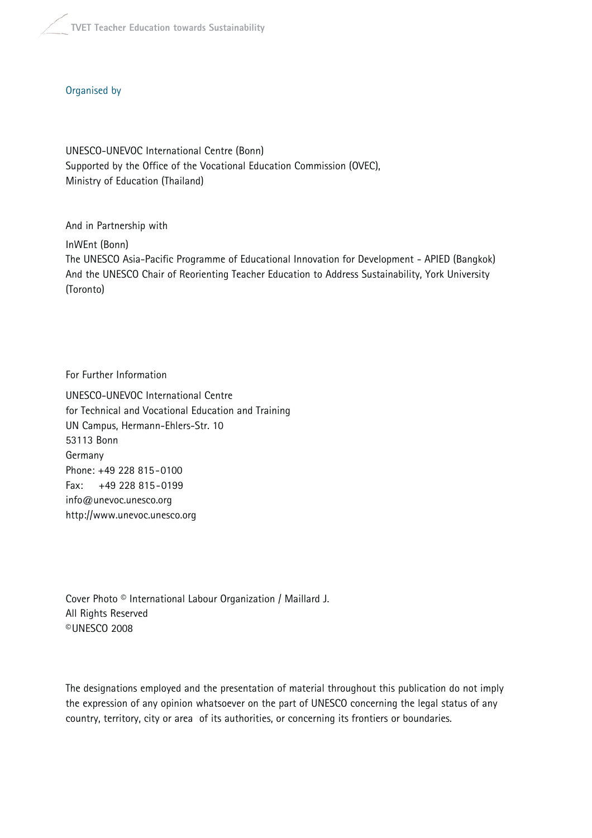### Organised by

UNESCO-UNEVOC International Centre (Bonn) Supported by the Office of the Vocational Education Commission (OVEC), Ministry of Education (Thailand)

And in Partnership with InWEnt (Bonn) The UNESCO Asia-Pacific Programme of Educational Innovation for Development - APIED (Bangkok) And the UNESCO Chair of Reorienting Teacher Education to Address Sustainability, York University (Toronto)

For Further Information

UNESCO-UNEVOC International Centre for Technical and Vocational Education and Training UN Campus, Hermann-Ehlers-Str. 10 53113 Bonn Germany Phone: +49 228 815-0100 Fax: +49 228 815-0199 info@unevoc.unesco.org http://www.unevoc.unesco.org

Cover Photo © International Labour Organization / Maillard J. All Rights Reserved ©UNESCO 2008

The designations employed and the presentation of material throughout this publication do not imply the expression of any opinion whatsoever on the part of UNESCO concerning the legal status of any country, territory, city or area of its authorities, or concerning its frontiers or boundaries.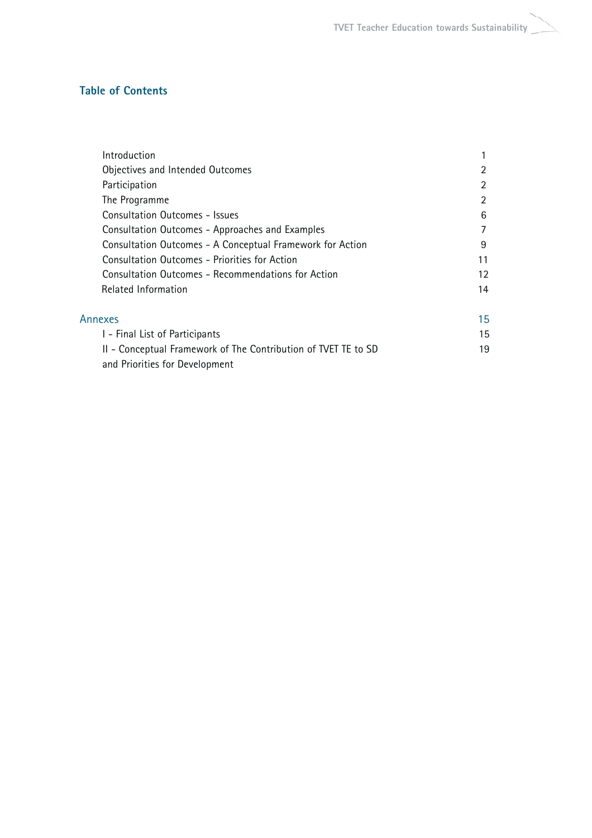**TVET Teacher Education towards Sustainability**

# **Table of Contents**

| Introduction                                                   |                   |
|----------------------------------------------------------------|-------------------|
| Objectives and Intended Outcomes                               | $\overline{2}$    |
| Participation                                                  | 2                 |
| The Programme                                                  | $\overline{2}$    |
| <b>Consultation Outcomes - Issues</b>                          | 6                 |
| Consultation Outcomes - Approaches and Examples                | 7                 |
| Consultation Outcomes - A Conceptual Framework for Action      | 9                 |
| <b>Consultation Outcomes - Priorities for Action</b>           | 11                |
| Consultation Outcomes - Recommendations for Action             | $12 \overline{ }$ |
| Related Information                                            | 14                |
| Annexes                                                        | 15                |
| I - Final List of Participants                                 | 15                |
| II - Conceptual Framework of The Contribution of TVET TE to SD | 19                |
| and Priorities for Development                                 |                   |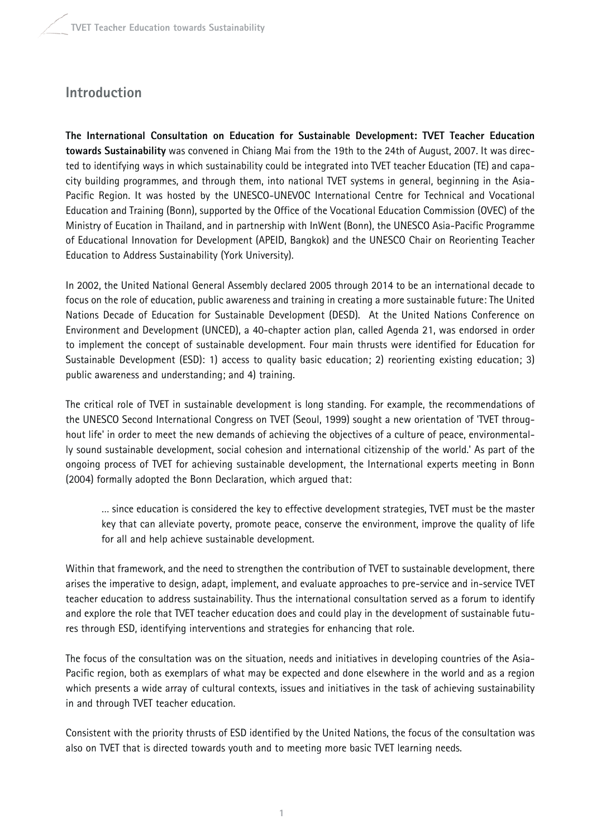# **Introduction**

**The International Consultation on Education for Sustainable Development: TVET Teacher Education towards Sustainability** was convened in Chiang Mai from the 19th to the 24th of August, 2007. It was directed to identifying ways in which sustainability could be integrated into TVET teacher Education (TE) and capacity building programmes, and through them, into national TVET systems in general, beginning in the Asia-Pacific Region. It was hosted by the UNESCO-UNEVOC International Centre for Technical and Vocational Education and Training (Bonn), supported by the Office of the Vocational Education Commission (OVEC) of the Ministry of Eucation in Thailand, and in partnership with InWent (Bonn), the UNESCO Asia-Pacific Programme of Educational Innovation for Development (APEID, Bangkok) and the UNESCO Chair on Reorienting Teacher Education to Address Sustainability (York University).

In 2002, the United National General Assembly declared 2005 through 2014 to be an international decade to focus on the role of education, public awareness and training in creating a more sustainable future: The United Nations Decade of Education for Sustainable Development (DESD). At the United Nations Conference on Environment and Development (UNCED), a 40-chapter action plan, called Agenda 21, was endorsed in order to implement the concept of sustainable development. Four main thrusts were identified for Education for Sustainable Development (ESD): 1) access to quality basic education; 2) reorienting existing education; 3) public awareness and understanding; and 4) training.

The critical role of TVET in sustainable development is long standing. For example, the recommendations of the UNESCO Second International Congress on TVET (Seoul, 1999) sought a new orientation of 'TVET throughout life' in order to meet the new demands of achieving the objectives of a culture of peace, environmentally sound sustainable development, social cohesion and international citizenship of the world.' As part of the ongoing process of TVET for achieving sustainable development, the International experts meeting in Bonn (2004) formally adopted the Bonn Declaration, which argued that:

… since education is considered the key to effective development strategies, TVET must be the master key that can alleviate poverty, promote peace, conserve the environment, improve the quality of life for all and help achieve sustainable development.

Within that framework, and the need to strengthen the contribution of TVET to sustainable development, there arises the imperative to design, adapt, implement, and evaluate approaches to pre-service and in-service TVET teacher education to address sustainability. Thus the international consultation served as a forum to identify and explore the role that TVET teacher education does and could play in the development of sustainable futures through ESD, identifying interventions and strategies for enhancing that role.

The focus of the consultation was on the situation, needs and initiatives in developing countries of the Asia-Pacific region, both as exemplars of what may be expected and done elsewhere in the world and as a region which presents a wide array of cultural contexts, issues and initiatives in the task of achieving sustainability in and through TVET teacher education.

Consistent with the priority thrusts of ESD identified by the United Nations, the focus of the consultation was also on TVET that is directed towards youth and to meeting more basic TVET learning needs.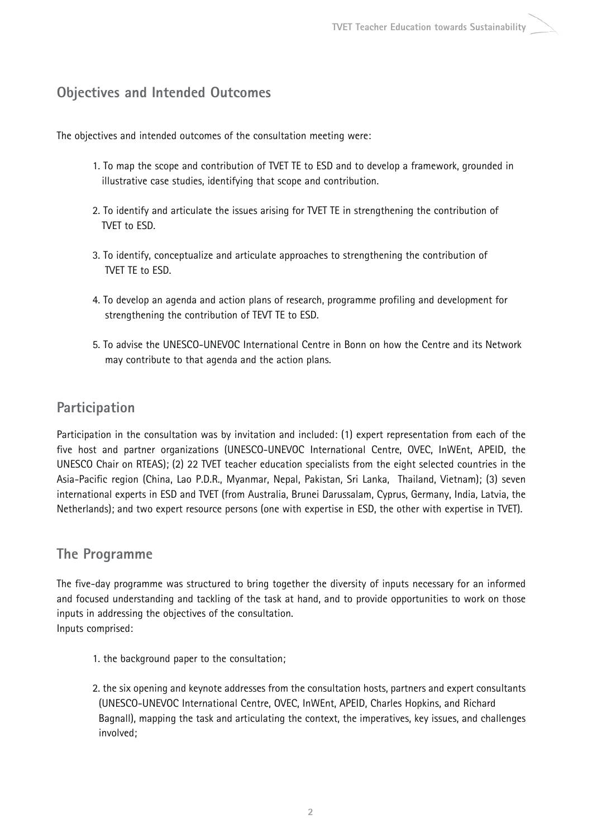# **Objectives and Intended Outcomes**

The objectives and intended outcomes of the consultation meeting were:

- 1. To map the scope and contribution of TVET TE to ESD and to develop a framework, grounded in illustrative case studies, identifying that scope and contribution.
- 2. To identify and articulate the issues arising for TVET TE in strengthening the contribution of TVET to ESD.
- 3. To identify, conceptualize and articulate approaches to strengthening the contribution of TVET TE to ESD.
- 4. To develop an agenda and action plans of research, programme profiling and development for strengthening the contribution of TEVT TE to ESD.
- 5. To advise the UNESCO-UNEVOC International Centre in Bonn on how the Centre and its Network may contribute to that agenda and the action plans.

# **Participation**

Participation in the consultation was by invitation and included: (1) expert representation from each of the five host and partner organizations (UNESCO-UNEVOC International Centre, OVEC, InWEnt, APEID, the UNESCO Chair on RTEAS); (2) 22 TVET teacher education specialists from the eight selected countries in the Asia-Pacific region (China, Lao P.D.R., Myanmar, Nepal, Pakistan, Sri Lanka, Thailand, Vietnam); (3) seven international experts in ESD and TVET (from Australia, Brunei Darussalam, Cyprus, Germany, India, Latvia, the Netherlands); and two expert resource persons (one with expertise in ESD, the other with expertise in TVET).

# **The Programme**

The five-day programme was structured to bring together the diversity of inputs necessary for an informed and focused understanding and tackling of the task at hand, and to provide opportunities to work on those inputs in addressing the objectives of the consultation. Inputs comprised:

- 1. the background paper to the consultation;
- 2. the six opening and keynote addresses from the consultation hosts, partners and expert consultants (UNESCO-UNEVOC International Centre, OVEC, InWEnt, APEID, Charles Hopkins, and Richard Bagnall), mapping the task and articulating the context, the imperatives, key issues, and challenges involved;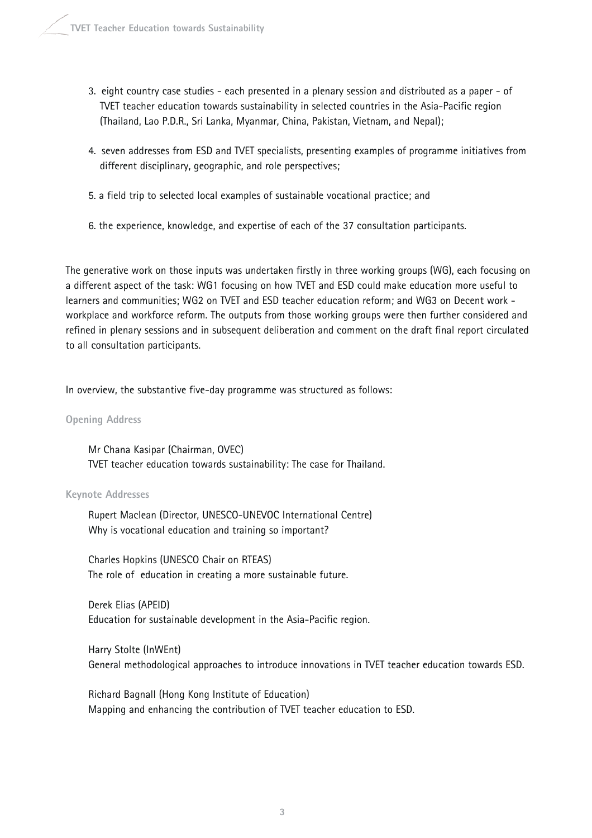- 3. eight country case studies each presented in a plenary session and distributed as a paper of TVET teacher education towards sustainability in selected countries in the Asia-Pacific region (Thailand, Lao P.D.R., Sri Lanka, Myanmar, China, Pakistan, Vietnam, and Nepal);
- 4. seven addresses from ESD and TVET specialists, presenting examples of programme initiatives from different disciplinary, geographic, and role perspectives;
- 5. a field trip to selected local examples of sustainable vocational practice; and
- 6. the experience, knowledge, and expertise of each of the 37 consultation participants.

The generative work on those inputs was undertaken firstly in three working groups (WG), each focusing on a different aspect of the task: WG1 focusing on how TVET and ESD could make education more useful to learners and communities; WG2 on TVET and ESD teacher education reform; and WG3 on Decent work workplace and workforce reform. The outputs from those working groups were then further considered and refined in plenary sessions and in subsequent deliberation and comment on the draft final report circulated to all consultation participants.

In overview, the substantive five-day programme was structured as follows:

### **Opening Address**

Mr Chana Kasipar (Chairman, OVEC) TVET teacher education towards sustainability: The case for Thailand.

### **Keynote Addresses**

Rupert Maclean (Director, UNESCO-UNEVOC International Centre) Why is vocational education and training so important?

Charles Hopkins (UNESCO Chair on RTEAS) The role of education in creating a more sustainable future.

Derek Elias (APEID) Education for sustainable development in the Asia-Pacific region.

Harry Stolte (InWEnt) General methodological approaches to introduce innovations in TVET teacher education towards ESD.

Richard Bagnall (Hong Kong Institute of Education) Mapping and enhancing the contribution of TVET teacher education to ESD.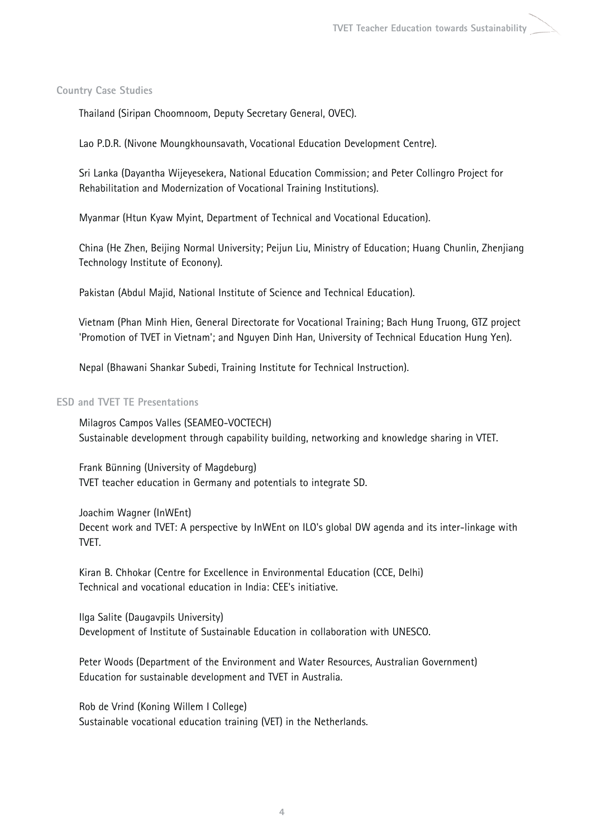### **Country Case Studies**

Thailand (Siripan Choomnoom, Deputy Secretary General, OVEC).

Lao P.D.R. (Nivone Moungkhounsavath, Vocational Education Development Centre).

Sri Lanka (Dayantha Wijeyesekera, National Education Commission; and Peter Collingro Project for Rehabilitation and Modernization of Vocational Training Institutions).

Myanmar (Htun Kyaw Myint, Department of Technical and Vocational Education).

China (He Zhen, Beijing Normal University; Peijun Liu, Ministry of Education; Huang Chunlin, Zhenjiang Technology Institute of Econony).

Pakistan (Abdul Majid, National Institute of Science and Technical Education).

Vietnam (Phan Minh Hien, General Directorate for Vocational Training; Bach Hung Truong, GTZ project 'Promotion of TVET in Vietnam'; and Nguyen Dinh Han, University of Technical Education Hung Yen).

Nepal (Bhawani Shankar Subedi, Training Institute for Technical Instruction).

### **ESD and TVET TE Presentations**

Milagros Campos Valles (SEAMEO-VOCTECH) Sustainable development through capability building, networking and knowledge sharing in VTET.

Frank Bünning (University of Magdeburg) TVET teacher education in Germany and potentials to integrate SD.

Joachim Wagner (InWEnt) Decent work and TVET: A perspective by InWEnt on ILO's global DW agenda and its inter-linkage with **TVFT** 

Kiran B. Chhokar (Centre for Excellence in Environmental Education (CCE, Delhi) Technical and vocational education in India: CEE's initiative.

Ilga Salite (Daugavpils University) Development of Institute of Sustainable Education in collaboration with UNESCO.

Peter Woods (Department of the Environment and Water Resources, Australian Government) Education for sustainable development and TVET in Australia.

Rob de Vrind (Koning Willem I College) Sustainable vocational education training (VET) in the Netherlands.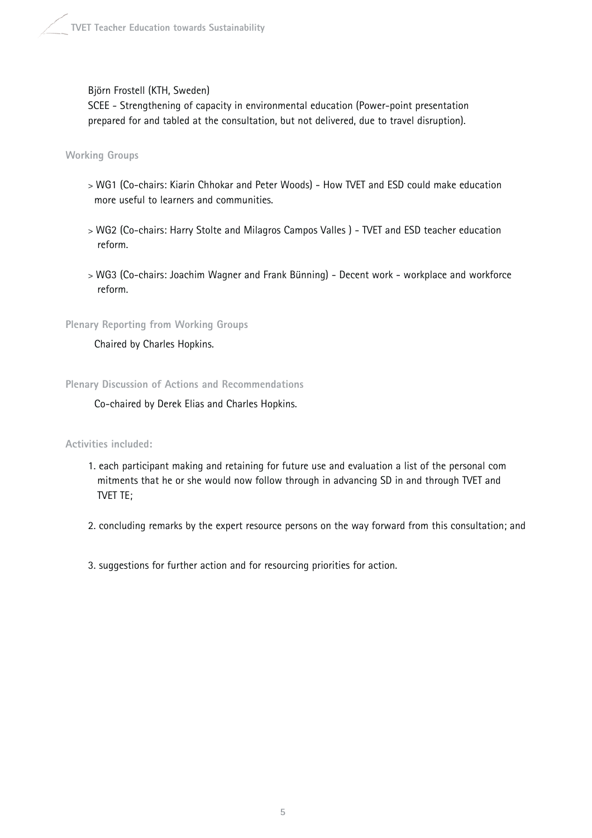### Björn Frostell (KTH, Sweden)

SCEE - Strengthening of capacity in environmental education (Power-point presentation prepared for and tabled at the consultation, but not delivered, due to travel disruption).

**Working Groups**

- > WG1 (Co-chairs: Kiarin Chhokar and Peter Woods) How TVET and ESD could make education more useful to learners and communities.
- > WG2 (Co-chairs: Harry Stolte and Milagros Campos Valles ) TVET and ESD teacher education reform.
- > WG3 (Co-chairs: Joachim Wagner and Frank Bünning) Decent work workplace and workforce reform.

**Plenary Reporting from Working Groups**

Chaired by Charles Hopkins.

**Plenary Discussion of Actions and Recommendations**

Co-chaired by Derek Elias and Charles Hopkins.

**Activities included:**

1. each participant making and retaining for future use and evaluation a list of the personal com mitments that he or she would now follow through in advancing SD in and through TVET and TVET TE;

2. concluding remarks by the expert resource persons on the way forward from this consultation; and

3. suggestions for further action and for resourcing priorities for action.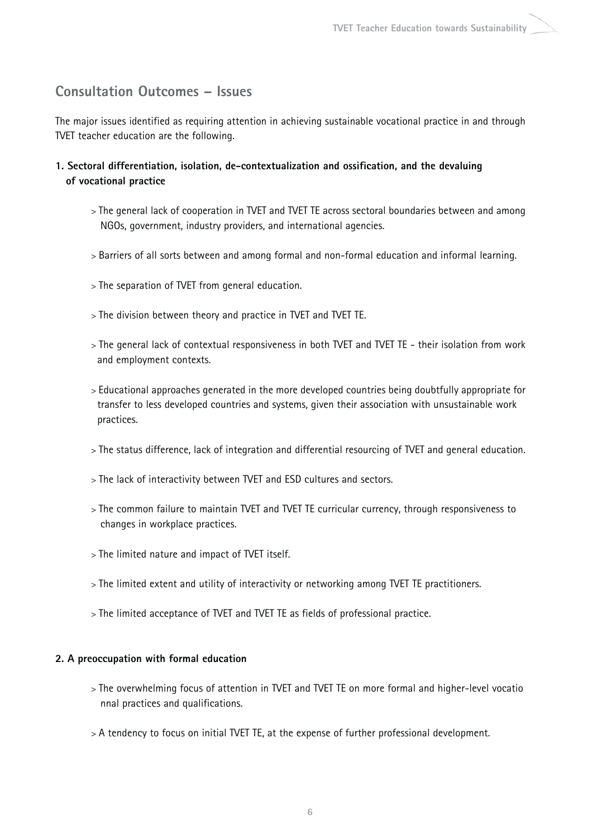# **Consultation Outcomes – Issues**

The major issues identified as requiring attention in achieving sustainable vocational practice in and through TVET teacher education are the following.

- **1. Sectoral differentiation, isolation, de-contextualization and ossification, and the devaluing of vocational practice**
	- > The general lack of cooperation in TVET and TVET TE across sectoral boundaries between and among NGOs, government, industry providers, and international agencies.
	- > Barriers of all sorts between and among formal and non-formal education and informal learning.
	- > The separation of TVET from general education.
	- > The division between theory and practice in TVET and TVET TE.
	- > The general lack of contextual responsiveness in both TVET and TVET TE their isolation from work and employment contexts.
	- > Educational approaches generated in the more developed countries being doubtfully appropriate for transfer to less developed countries and systems, given their association with unsustainable work practices.
	- > The status difference, lack of integration and differential resourcing of TVET and general education.
	- > The lack of interactivity between TVET and ESD cultures and sectors.
	- > The common failure to maintain TVET and TVET TE curricular currency, through responsiveness to changes in workplace practices.
	- > The limited nature and impact of TVET itself.
	- > The limited extent and utility of interactivity or networking among TVET TE practitioners.
	- > The limited acceptance of TVET and TVET TE as fields of professional practice.

### **2. A preoccupation with formal education**

- > The overwhelming focus of attention in TVET and TVET TE on more formal and higher-level vocatio nnal practices and qualifications.
- > A tendency to focus on initial TVET TE, at the expense of further professional development.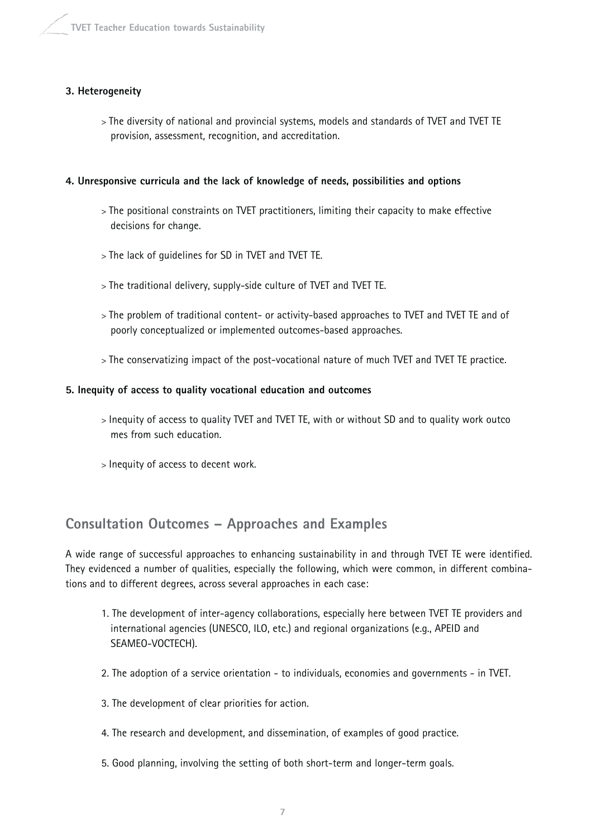# **3. Heterogeneity**

> The diversity of national and provincial systems, models and standards of TVET and TVET TE provision, assessment, recognition, and accreditation.

# **4. Unresponsive curricula and the lack of knowledge of needs, possibilities and options**

- > The positional constraints on TVET practitioners, limiting their capacity to make effective decisions for change.
- > The lack of guidelines for SD in TVET and TVET TE.
- > The traditional delivery, supply-side culture of TVET and TVET TE.
- > The problem of traditional content- or activity-based approaches to TVET and TVET TE and of poorly conceptualized or implemented outcomes-based approaches.
- > The conservatizing impact of the post-vocational nature of much TVET and TVET TE practice.

# **5. Inequity of access to quality vocational education and outcomes**

- > Inequity of access to quality TVET and TVET TE, with or without SD and to quality work outco mes from such education.
- > Inequity of access to decent work.

# **Consultation Outcomes – Approaches and Examples**

A wide range of successful approaches to enhancing sustainability in and through TVET TE were identified. They evidenced a number of qualities, especially the following, which were common, in different combinations and to different degrees, across several approaches in each case:

- 1. The development of inter-agency collaborations, especially here between TVET TE providers and international agencies (UNESCO, ILO, etc.) and regional organizations (e.g., APEID and SEAMEO-VOCTECH).
- 2. The adoption of a service orientation to individuals, economies and governments in TVET.
- 3. The development of clear priorities for action.
- 4. The research and development, and dissemination, of examples of good practice.
- 5. Good planning, involving the setting of both short-term and longer-term goals.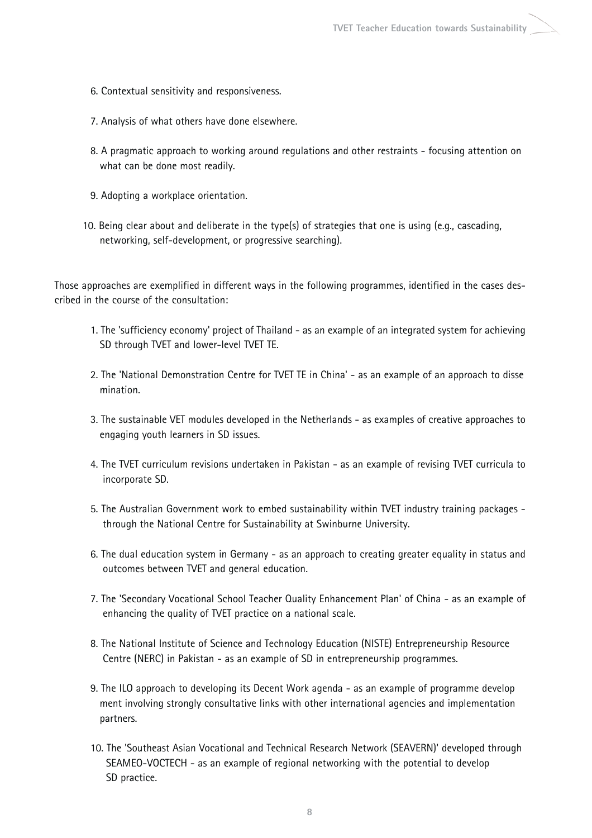- 6. Contextual sensitivity and responsiveness.
- 7. Analysis of what others have done elsewhere.
- 8. A pragmatic approach to working around regulations and other restraints focusing attention on what can be done most readily.
- 9. Adopting a workplace orientation.
- 10. Being clear about and deliberate in the type(s) of strategies that one is using (e.g., cascading, networking, self-development, or progressive searching).

Those approaches are exemplified in different ways in the following programmes, identified in the cases described in the course of the consultation:

- 1. The 'sufficiency economy' project of Thailand as an example of an integrated system for achieving SD through TVET and lower-level TVET TE.
- 2. The 'National Demonstration Centre for TVET TE in China' as an example of an approach to disse mination.
- 3. The sustainable VET modules developed in the Netherlands as examples of creative approaches to engaging youth learners in SD issues.
- 4. The TVET curriculum revisions undertaken in Pakistan as an example of revising TVET curricula to incorporate SD.
- 5. The Australian Government work to embed sustainability within TVET industry training packages through the National Centre for Sustainability at Swinburne University.
- 6. The dual education system in Germany as an approach to creating greater equality in status and outcomes between TVET and general education.
- 7. The 'Secondary Vocational School Teacher Quality Enhancement Plan' of China as an example of enhancing the quality of TVET practice on a national scale.
- 8. The National Institute of Science and Technology Education (NISTE) Entrepreneurship Resource Centre (NERC) in Pakistan - as an example of SD in entrepreneurship programmes.
- 9. The ILO approach to developing its Decent Work agenda as an example of programme develop ment involving strongly consultative links with other international agencies and implementation partners.
- 10. The 'Southeast Asian Vocational and Technical Research Network (SEAVERN)' developed through SEAMEO-VOCTECH - as an example of regional networking with the potential to develop SD practice.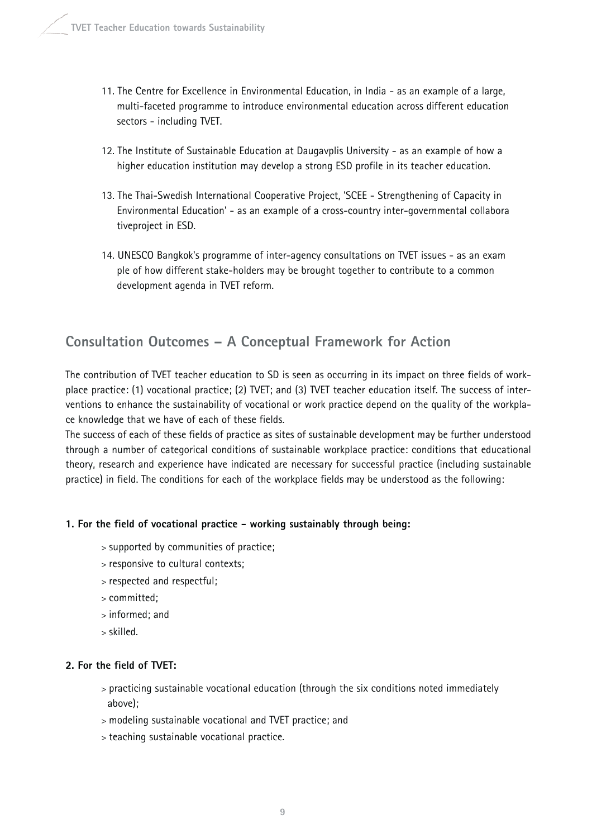- 11. The Centre for Excellence in Environmental Education, in India as an example of a large, multi-faceted programme to introduce environmental education across different education sectors - including TVET.
- 12. The Institute of Sustainable Education at Daugavplis University as an example of how a higher education institution may develop a strong ESD profile in its teacher education.
- 13. The Thai-Swedish International Cooperative Project, 'SCEE Strengthening of Capacity in Environmental Education' - as an example of a cross-country inter-governmental collabora tiveproject in ESD.
- 14. UNESCO Bangkok's programme of inter-agency consultations on TVET issues as an exam ple of how different stake-holders may be brought together to contribute to a common development agenda in TVET reform.

# **Consultation Outcomes – A Conceptual Framework for Action**

The contribution of TVET teacher education to SD is seen as occurring in its impact on three fields of workplace practice: (1) vocational practice; (2) TVET; and (3) TVET teacher education itself. The success of interventions to enhance the sustainability of vocational or work practice depend on the quality of the workplace knowledge that we have of each of these fields.

The success of each of these fields of practice as sites of sustainable development may be further understood through a number of categorical conditions of sustainable workplace practice: conditions that educational theory, research and experience have indicated are necessary for successful practice (including sustainable practice) in field. The conditions for each of the workplace fields may be understood as the following:

# **1. For the field of vocational practice - working sustainably through being:**

- > supported by communities of practice;
- > responsive to cultural contexts;
- > respected and respectful;
- > committed;
- > informed; and
- > skilled.

# **2. For the field of TVET:**

- > practicing sustainable vocational education (through the six conditions noted immediately above);
- > modeling sustainable vocational and TVET practice; and
- > teaching sustainable vocational practice.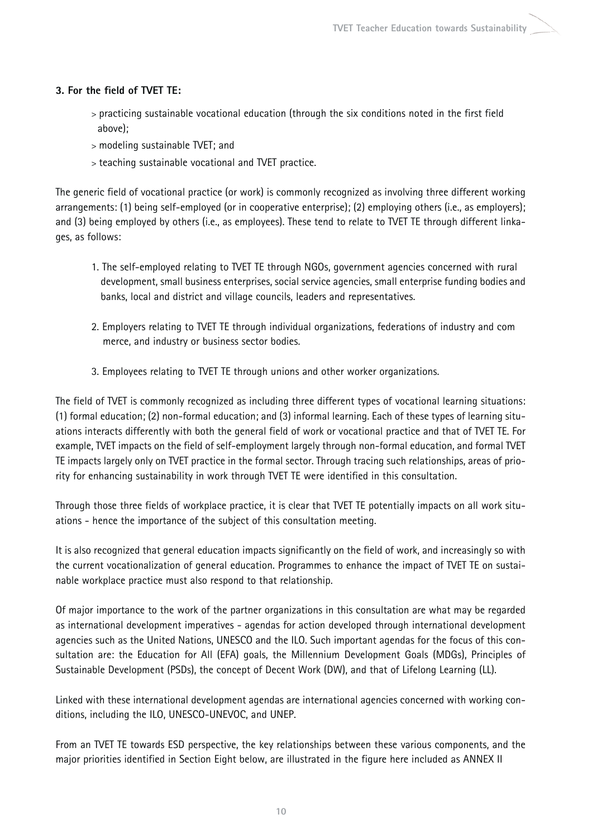# **3. For the field of TVET TE:**

- > practicing sustainable vocational education (through the six conditions noted in the first field above);
- > modeling sustainable TVET; and
- > teaching sustainable vocational and TVET practice.

The generic field of vocational practice (or work) is commonly recognized as involving three different working arrangements: (1) being self-employed (or in cooperative enterprise); (2) employing others (i.e., as employers); and (3) being employed by others (i.e., as employees). These tend to relate to TVET TE through different linkages, as follows:

- 1. The self-employed relating to TVET TE through NGOs, government agencies concerned with rural development, small business enterprises, social service agencies, small enterprise funding bodies and banks, local and district and village councils, leaders and representatives.
- 2. Employers relating to TVET TE through individual organizations, federations of industry and com merce, and industry or business sector bodies.
- 3. Employees relating to TVET TE through unions and other worker organizations.

The field of TVET is commonly recognized as including three different types of vocational learning situations: (1) formal education; (2) non-formal education; and (3) informal learning. Each of these types of learning situations interacts differently with both the general field of work or vocational practice and that of TVET TE. For example, TVET impacts on the field of self-employment largely through non-formal education, and formal TVET TE impacts largely only on TVET practice in the formal sector. Through tracing such relationships, areas of priority for enhancing sustainability in work through TVET TE were identified in this consultation.

Through those three fields of workplace practice, it is clear that TVET TE potentially impacts on all work situations - hence the importance of the subject of this consultation meeting.

It is also recognized that general education impacts significantly on the field of work, and increasingly so with the current vocationalization of general education. Programmes to enhance the impact of TVET TE on sustainable workplace practice must also respond to that relationship.

Of major importance to the work of the partner organizations in this consultation are what may be regarded as international development imperatives - agendas for action developed through international development agencies such as the United Nations, UNESCO and the ILO. Such important agendas for the focus of this consultation are: the Education for All (EFA) goals, the Millennium Development Goals (MDGs), Principles of Sustainable Development (PSDs), the concept of Decent Work (DW), and that of Lifelong Learning (LL).

Linked with these international development agendas are international agencies concerned with working conditions, including the ILO, UNESCO-UNEVOC, and UNEP.

From an TVET TE towards ESD perspective, the key relationships between these various components, and the major priorities identified in Section Eight below, are illustrated in the figure here included as ANNEX II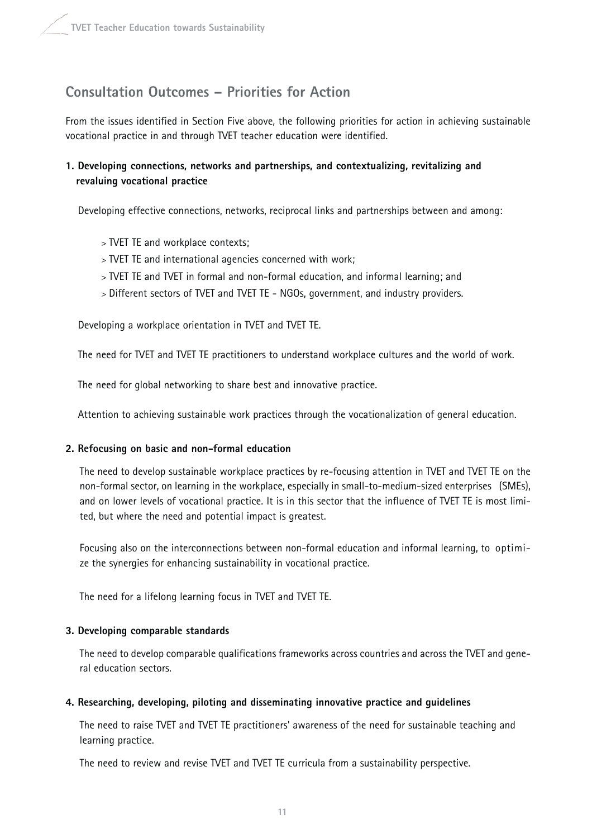# **Consultation Outcomes – Priorities for Action**

From the issues identified in Section Five above, the following priorities for action in achieving sustainable vocational practice in and through TVET teacher education were identified.

# **1. Developing connections, networks and partnerships, and contextualizing, revitalizing and revaluing vocational practice**

Developing effective connections, networks, reciprocal links and partnerships between and among:

- > TVET TE and workplace contexts;
- > TVET TE and international agencies concerned with work;
- > TVET TE and TVET in formal and non-formal education, and informal learning; and
- > Different sectors of TVET and TVET TE NGOs, government, and industry providers.

Developing a workplace orientation in TVET and TVET TE.

The need for TVET and TVET TE practitioners to understand workplace cultures and the world of work.

The need for global networking to share best and innovative practice.

Attention to achieving sustainable work practices through the vocationalization of general education.

### **2. Refocusing on basic and non-formal education**

The need to develop sustainable workplace practices by re-focusing attention in TVET and TVET TE on the non-formal sector, on learning in the workplace, especially in small-to-medium-sized enterprises (SMEs), and on lower levels of vocational practice. It is in this sector that the influence of TVET TE is most limited, but where the need and potential impact is greatest.

Focusing also on the interconnections between non-formal education and informal learning, to optimize the synergies for enhancing sustainability in vocational practice.

The need for a lifelong learning focus in TVET and TVET TE.

### **3. Developing comparable standards**

The need to develop comparable qualifications frameworks across countries and across the TVET and general education sectors.

### **4. Researching, developing, piloting and disseminating innovative practice and guidelines**

The need to raise TVET and TVET TE practitioners' awareness of the need for sustainable teaching and learning practice.

The need to review and revise TVET and TVET TE curricula from a sustainability perspective.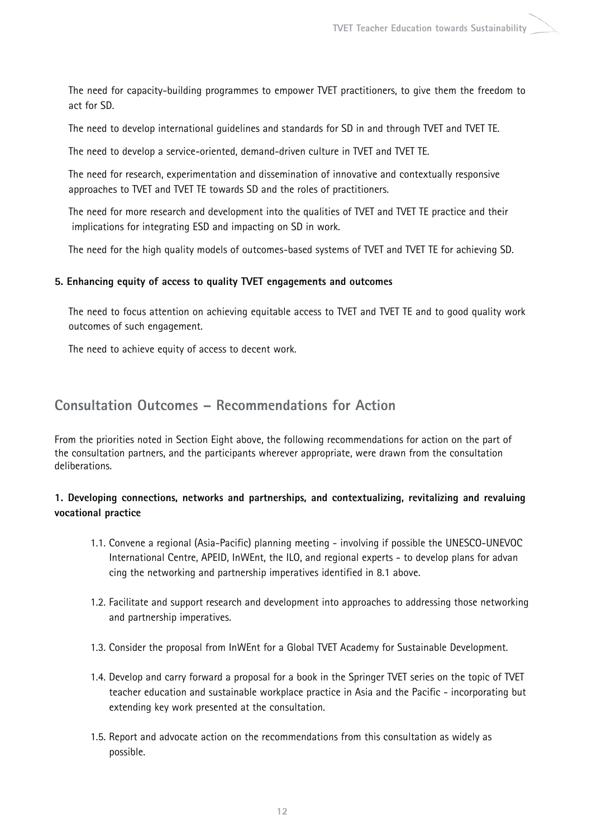The need for capacity-building programmes to empower TVET practitioners, to give them the freedom to act for SD.

The need to develop international guidelines and standards for SD in and through TVET and TVET TE.

The need to develop a service-oriented, demand-driven culture in TVET and TVET TE.

The need for research, experimentation and dissemination of innovative and contextually responsive approaches to TVET and TVET TE towards SD and the roles of practitioners.

The need for more research and development into the qualities of TVET and TVET TE practice and their implications for integrating ESD and impacting on SD in work.

The need for the high quality models of outcomes-based systems of TVET and TVET TE for achieving SD.

### **5. Enhancing equity of access to quality TVET engagements and outcomes**

The need to focus attention on achieving equitable access to TVET and TVET TE and to good quality work outcomes of such engagement.

The need to achieve equity of access to decent work.

# **Consultation Outcomes – Recommendations for Action**

From the priorities noted in Section Eight above, the following recommendations for action on the part of the consultation partners, and the participants wherever appropriate, were drawn from the consultation deliberations.

# **1. Developing connections, networks and partnerships, and contextualizing, revitalizing and revaluing vocational practice**

- 1.1. Convene a regional (Asia-Pacific) planning meeting involving if possible the UNESCO-UNEVOC International Centre, APEID, InWEnt, the ILO, and regional experts - to develop plans for advan cing the networking and partnership imperatives identified in 8.1 above.
- 1.2. Facilitate and support research and development into approaches to addressing those networking and partnership imperatives.
- 1.3. Consider the proposal from InWEnt for a Global TVET Academy for Sustainable Development.
- 1.4. Develop and carry forward a proposal for a book in the Springer TVET series on the topic of TVET teacher education and sustainable workplace practice in Asia and the Pacific - incorporating but extending key work presented at the consultation.
- 1.5. Report and advocate action on the recommendations from this consultation as widely as possible.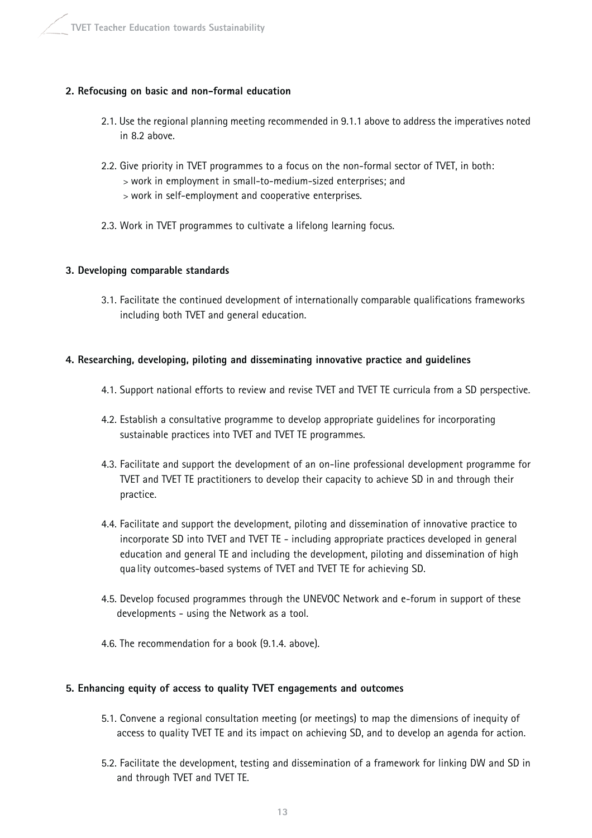# **2. Refocusing on basic and non-formal education**

- 2.1. Use the regional planning meeting recommended in 9.1.1 above to address the imperatives noted in 8.2 above.
- 2.2. Give priority in TVET programmes to a focus on the non-formal sector of TVET, in both:
	- > work in employment in small-to-medium-sized enterprises; and
	- > work in self-employment and cooperative enterprises.
- 2.3. Work in TVET programmes to cultivate a lifelong learning focus.

# **3. Developing comparable standards**

3.1. Facilitate the continued development of internationally comparable qualifications frameworks including both TVET and general education.

# **4. Researching, developing, piloting and disseminating innovative practice and guidelines**

- 4.1. Support national efforts to review and revise TVET and TVET TE curricula from a SD perspective.
- 4.2. Establish a consultative programme to develop appropriate guidelines for incorporating sustainable practices into TVET and TVET TE programmes.
- 4.3. Facilitate and support the development of an on-line professional development programme for TVET and TVET TE practitioners to develop their capacity to achieve SD in and through their practice.
- 4.4. Facilitate and support the development, piloting and dissemination of innovative practice to incorporate SD into TVET and TVET TE - including appropriate practices developed in general education and general TE and including the development, piloting and dissemination of high quality outcomes-based systems of TVET and TVET TE for achieving SD.
- 4.5. Develop focused programmes through the UNEVOC Network and e-forum in support of these developments - using the Network as a tool.
- 4.6. The recommendation for a book (9.1.4. above).

### **5. Enhancing equity of access to quality TVET engagements and outcomes**

- 5.1. Convene a regional consultation meeting (or meetings) to map the dimensions of inequity of access to quality TVET TE and its impact on achieving SD, and to develop an agenda for action.
- 5.2. Facilitate the development, testing and dissemination of a framework for linking DW and SD in and through TVET and TVET TE.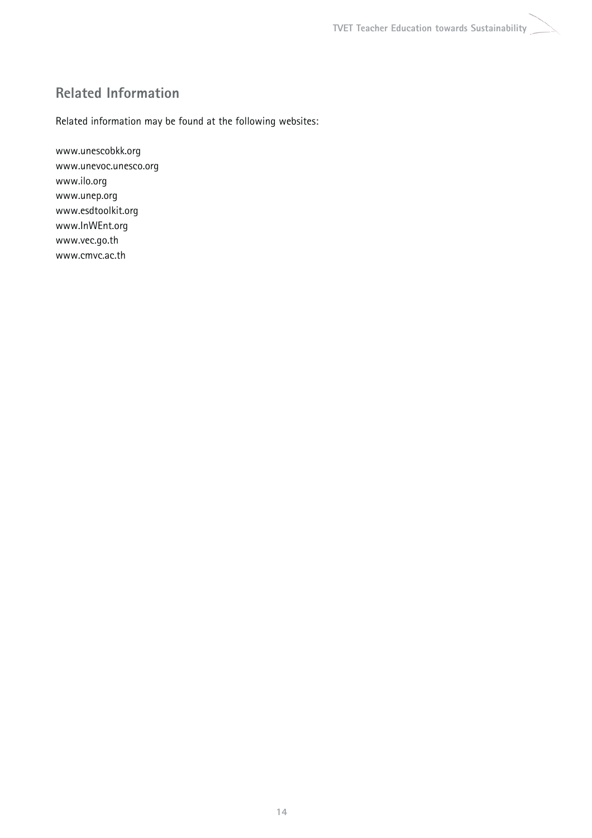# **Related Information**

Related information may be found at the following websites:

www.unescobkk.org www.unevoc.unesco.org www.ilo.org www.unep.org www.esdtoolkit.org www.InWEnt.org www.vec.go.th www.cmvc.ac.th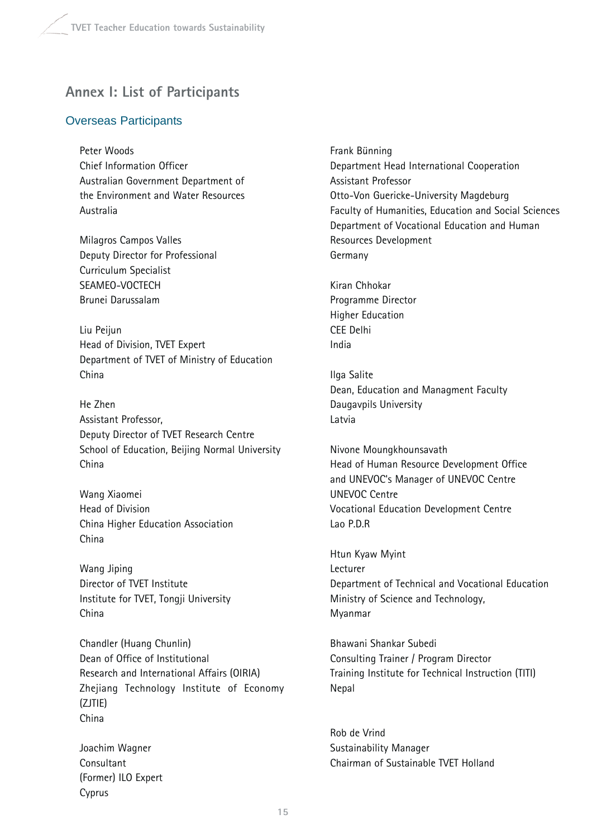# **Annex I: List of Participants**

# Overseas Participants

Peter Woods Chief Information Officer Australian Government Department of the Environment and Water Resources Australia

Milagros Campos Valles Deputy Director for Professional Curriculum Specialist SEAMEO-VOCTECH Brunei Darussalam

Liu Peijun Head of Division, TVET Expert Department of TVET of Ministry of Education China

He Zhen Assistant Professor, Deputy Director of TVET Research Centre School of Education, Beijing Normal University China

Wang Xiaomei Head of Division China Higher Education Association China

Wang Jiping Director of TVET Institute Institute for TVET, Tongji University China

Chandler (Huang Chunlin) Dean of Office of Institutional Research and International Affairs (OIRIA) Zhejiang Technology Institute of Economy (ZJTIE) China

Joachim Wagner **Consultant** (Former) ILO Expert Cyprus

Frank Bünning Department Head International Cooperation Assistant Professor Otto-Von Guericke-University Magdeburg Faculty of Humanities, Education and Social Sciences Department of Vocational Education and Human Resources Development Germany

Kiran Chhokar Programme Director Higher Education CEE Delhi India

Ilga Salite Dean, Education and Managment Faculty Daugavpils University Latvia

Nivone Moungkhounsavath Head of Human Resource Development Office and UNEVOC's Manager of UNEVOC Centre UNEVOC Centre Vocational Education Development Centre Lao P.D.R

Htun Kyaw Myint Lecturer Department of Technical and Vocational Education Ministry of Science and Technology, Myanmar

Bhawani Shankar Subedi Consulting Trainer / Program Director Training Institute for Technical Instruction (TITI) Nepal

Rob de Vrind Sustainability Manager Chairman of Sustainable TVET Holland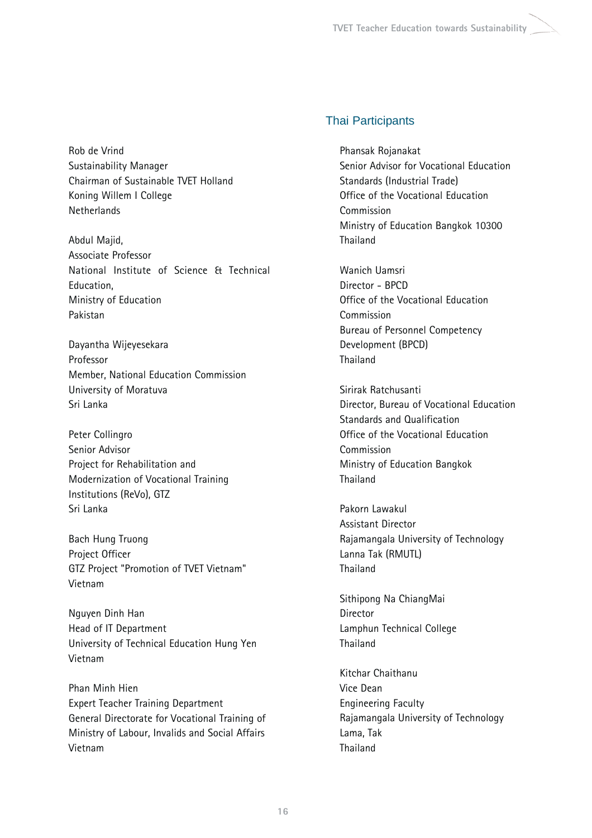Rob de Vrind Sustainability Manager Chairman of Sustainable TVET Holland Koning Willem I College Netherlands

Abdul Majid, Associate Professor National Institute of Science & Technical Education, Ministry of Education Pakistan

Dayantha Wijeyesekara Professor Member, National Education Commission University of Moratuva Sri Lanka

Peter Collingro Senior Advisor Project for Rehabilitation and Modernization of Vocational Training Institutions (ReVo), GTZ Sri Lanka

Bach Hung Truong Project Officer GTZ Project "Promotion of TVET Vietnam" Vietnam

Nguyen Dinh Han Head of IT Department University of Technical Education Hung Yen Vietnam

Phan Minh Hien Expert Teacher Training Department General Directorate for Vocational Training of Ministry of Labour, Invalids and Social Affairs Vietnam

# Thai Participants

Phansak Rojanakat Senior Advisor for Vocational Education Standards (Industrial Trade) Office of the Vocational Education **Commission** Ministry of Education Bangkok 10300 Thailand

Wanich Uamsri Director - BPCD Office of the Vocational Education Commission Bureau of Personnel Competency Development (BPCD) Thailand

Sirirak Ratchusanti Director, Bureau of Vocational Education Standards and Qualification Office of the Vocational Education Commission Ministry of Education Bangkok **Thailand** 

Pakorn Lawakul Assistant Director Rajamangala University of Technology Lanna Tak (RMUTL) **Thailand** 

Sithipong Na ChiangMai Director Lamphun Technical College Thailand

Kitchar Chaithanu Vice Dean Engineering Faculty Rajamangala University of Technology Lama, Tak Thailand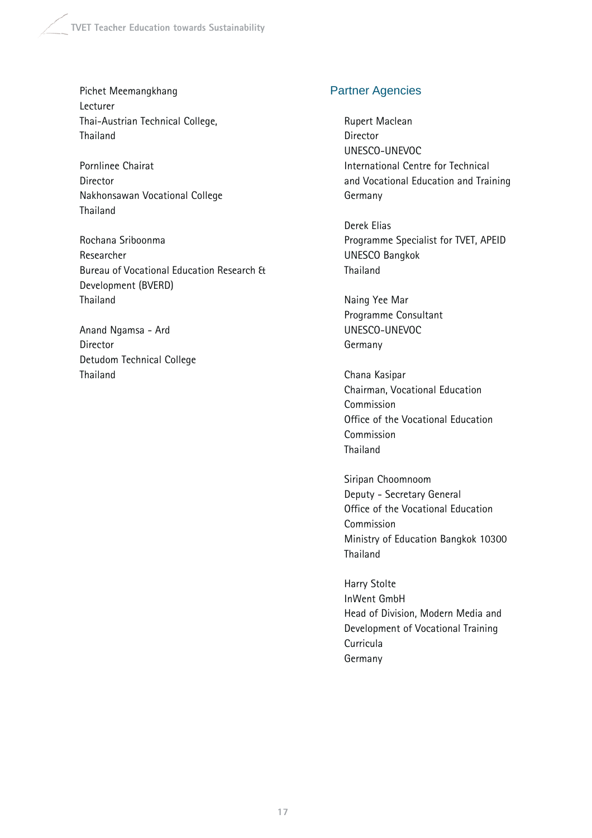Pichet Meemangkhang Lecturer Thai-Austrian Technical College, Thailand

Pornlinee Chairat Director Nakhonsawan Vocational College Thailand

Rochana Sriboonma Researcher Bureau of Vocational Education Research & Development (BVERD) Thailand

Anand Ngamsa - Ard Director Detudom Technical College Thailand

# Partner Agencies

Rupert Maclean Director UNESCO-UNEVOC International Centre for Technical and Vocational Education and Training Germany

Derek Elias Programme Specialist for TVET, APEID UNESCO Bangkok Thailand

Naing Yee Mar Programme Consultant UNESCO-UNEVOC Germany

Chana Kasipar Chairman, Vocational Education Commission Office of the Vocational Education Commission Thailand

Siripan Choomnoom Deputy - Secretary General Office of the Vocational Education Commission Ministry of Education Bangkok 10300 Thailand

Harry Stolte InWent GmbH Head of Division, Modern Media and Development of Vocational Training Curricula Germany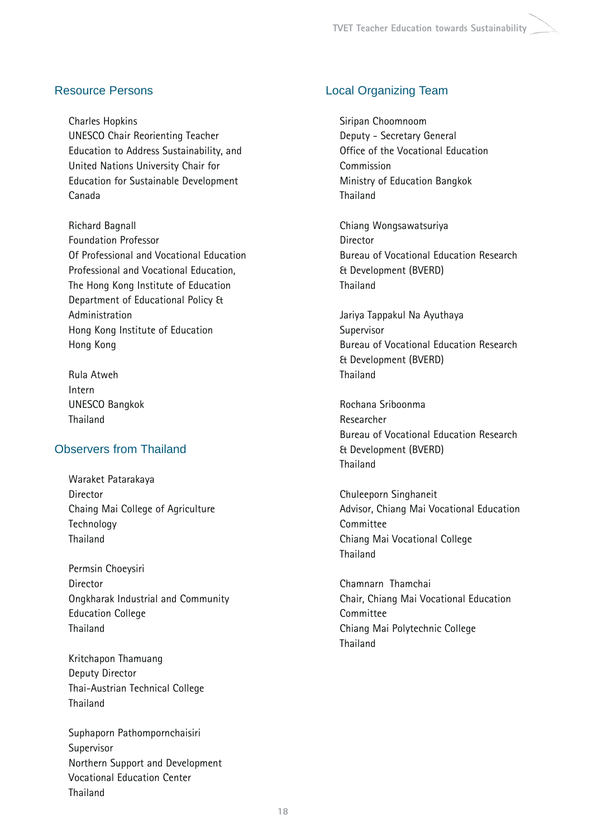# Resource Persons

Charles Hopkins UNESCO Chair Reorienting Teacher Education to Address Sustainability, and United Nations University Chair for Education for Sustainable Development Canada

Richard Bagnall Foundation Professor Of Professional and Vocational Education Professional and Vocational Education, The Hong Kong Institute of Education Department of Educational Policy & Administration Hong Kong Institute of Education Hong Kong

Rula Atweh Intern UNESCO Bangkok Thailand

# Observers from Thailand

Waraket Patarakaya Director Chaing Mai College of Agriculture Technology Thailand

Permsin Choeysiri Director Ongkharak Industrial and Community Education College Thailand

Kritchapon Thamuang Deputy Director Thai-Austrian Technical College Thailand

Suphaporn Pathompornchaisiri Supervisor Northern Support and Development Vocational Education Center Thailand

# Local Organizing Team

Siripan Choomnoom Deputy - Secretary General Office of the Vocational Education Commission Ministry of Education Bangkok **Thailand** 

Chiang Wongsawatsuriya Director Bureau of Vocational Education Research & Development (BVERD) Thailand

Jariya Tappakul Na Ayuthaya Supervisor Bureau of Vocational Education Research & Development (BVERD) Thailand

Rochana Sriboonma Researcher Bureau of Vocational Education Research & Development (BVERD) Thailand

Chuleeporn Singhaneit Advisor, Chiang Mai Vocational Education Committee Chiang Mai Vocational College Thailand

Chamnarn Thamchai Chair, Chiang Mai Vocational Education Committee Chiang Mai Polytechnic College Thailand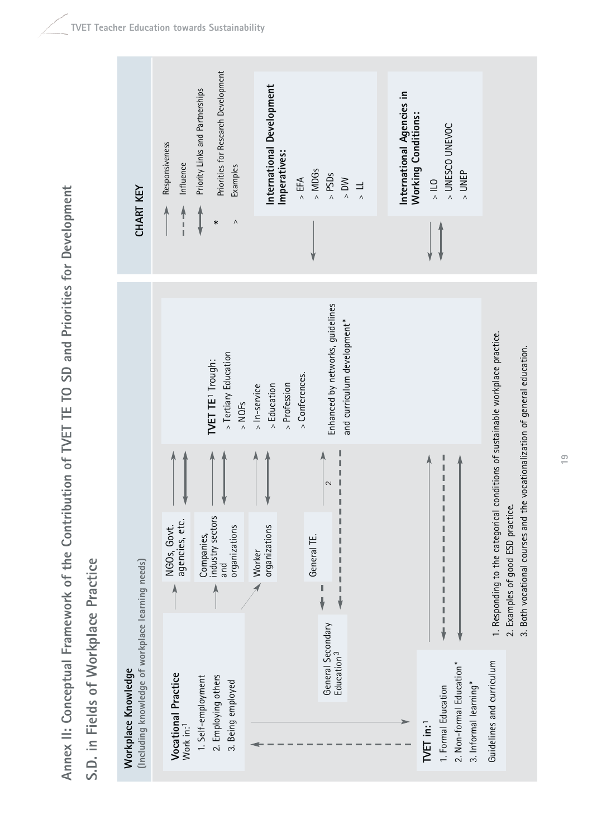Annex II: Conceptual Framework of the Contribution of TVET TE TO SD and Priorities for Development **Annex II: Conceptual Framework of the Contribution of TVET TE TO SD and Priorities for Development**

S.D. in Fields of Workplace Practice **S.D. in Fields of Workplace Practice**